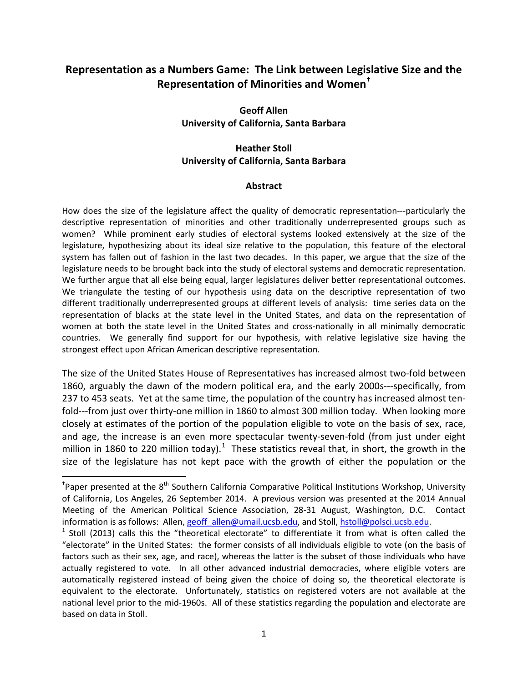# **Representation as a Numbers Game: The Link between Legislative Size and the Representation of Minorities and Women[†](#page-0-0)**

## **Geoff Allen University of California, Santa Barbara**

## **Heather Stoll University of California, Santa Barbara**

#### **Abstract**

How does the size of the legislature affect the quality of democratic representation---particularly the descriptive representation of minorities and other traditionally underrepresented groups such as women? While prominent early studies of electoral systems looked extensively at the size of the legislature, hypothesizing about its ideal size relative to the population, this feature of the electoral system has fallen out of fashion in the last two decades. In this paper, we argue that the size of the legislature needs to be brought back into the study of electoral systems and democratic representation. We further argue that all else being equal, larger legislatures deliver better representational outcomes. We triangulate the testing of our hypothesis using data on the descriptive representation of two different traditionally underrepresented groups at different levels of analysis: time series data on the representation of blacks at the state level in the United States, and data on the representation of women at both the state level in the United States and cross-nationally in all minimally democratic countries. We generally find support for our hypothesis, with relative legislative size having the strongest effect upon African American descriptive representation.

The size of the United States House of Representatives has increased almost two-fold between 1860, arguably the dawn of the modern political era, and the early 2000s---specifically, from 237 to 453 seats. Yet at the same time, the population of the country has increased almost tenfold---from just over thirty-one million in 1860 to almost 300 million today. When looking more closely at estimates of the portion of the population eligible to vote on the basis of sex, race, and age, the increase is an even more spectacular twenty-seven-fold (from just under eight million in [1](#page-0-1)860 to 220 million today).<sup>1</sup> These statistics reveal that, in short, the growth in the size of the legislature has not kept pace with the growth of either the population or the

<span id="page-0-0"></span> <sup>†</sup> <sup>+</sup>Paper presented at the 8<sup>th</sup> Southern California Comparative Political Institutions Workshop, University of California, Los Angeles, 26 September 2014. A previous version was presented at the 2014 Annual Meeting of the American Political Science Association, 28-31 August, Washington, D.C. Contact information is as follows: Allen, geoff allen@umail.ucsb.edu, and Stoll, hstoll@polsci.ucsb.edu.

<span id="page-0-1"></span> $^1$  Stoll (2013) calls this the "theoretical electorate" to differentiate it from what is often called the "electorate" in the United States: the former consists of all individuals eligible to vote (on the basis of factors such as their sex, age, and race), whereas the latter is the subset of those individuals who have actually registered to vote. In all other advanced industrial democracies, where eligible voters are automatically registered instead of being given the choice of doing so, the theoretical electorate is equivalent to the electorate. Unfortunately, statistics on registered voters are not available at the national level prior to the mid-1960s. All of these statistics regarding the population and electorate are based on data in Stoll.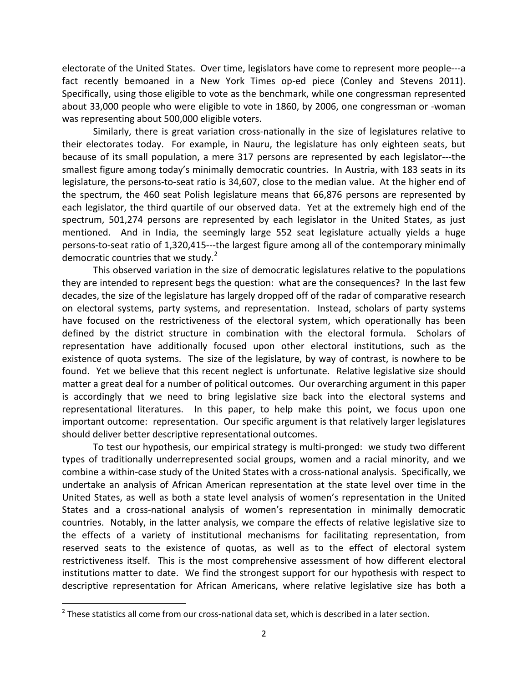electorate of the United States. Over time, legislators have come to represent more people---a fact recently bemoaned in a New York Times op-ed piece (Conley and Stevens 2011). Specifically, using those eligible to vote as the benchmark, while one congressman represented about 33,000 people who were eligible to vote in 1860, by 2006, one congressman or -woman was representing about 500,000 eligible voters.

Similarly, there is great variation cross-nationally in the size of legislatures relative to their electorates today. For example, in Nauru, the legislature has only eighteen seats, but because of its small population, a mere 317 persons are represented by each legislator---the smallest figure among today's minimally democratic countries. In Austria, with 183 seats in its legislature, the persons-to-seat ratio is 34,607, close to the median value. At the higher end of the spectrum, the 460 seat Polish legislature means that 66,876 persons are represented by each legislator, the third quartile of our observed data. Yet at the extremely high end of the spectrum, 501,274 persons are represented by each legislator in the United States, as just mentioned. And in India, the seemingly large 552 seat legislature actually yields a huge persons-to-seat ratio of 1,320,415---the largest figure among all of the contemporary minimally democratic countries that we study.<sup>[2](#page-1-0)</sup>

This observed variation in the size of democratic legislatures relative to the populations they are intended to represent begs the question: what are the consequences? In the last few decades, the size of the legislature has largely dropped off of the radar of comparative research on electoral systems, party systems, and representation. Instead, scholars of party systems have focused on the restrictiveness of the electoral system, which operationally has been defined by the district structure in combination with the electoral formula. Scholars of representation have additionally focused upon other electoral institutions, such as the existence of quota systems. The size of the legislature, by way of contrast, is nowhere to be found. Yet we believe that this recent neglect is unfortunate. Relative legislative size should matter a great deal for a number of political outcomes. Our overarching argument in this paper is accordingly that we need to bring legislative size back into the electoral systems and representational literatures. In this paper, to help make this point, we focus upon one important outcome: representation. Our specific argument is that relatively larger legislatures should deliver better descriptive representational outcomes.

To test our hypothesis, our empirical strategy is multi-pronged: we study two different types of traditionally underrepresented social groups, women and a racial minority, and we combine a within-case study of the United States with a cross-national analysis. Specifically, we undertake an analysis of African American representation at the state level over time in the United States, as well as both a state level analysis of women's representation in the United States and a cross-national analysis of women's representation in minimally democratic countries. Notably, in the latter analysis, we compare the effects of relative legislative size to the effects of a variety of institutional mechanisms for facilitating representation, from reserved seats to the existence of quotas, as well as to the effect of electoral system restrictiveness itself. This is the most comprehensive assessment of how different electoral institutions matter to date. We find the strongest support for our hypothesis with respect to descriptive representation for African Americans, where relative legislative size has both a

<span id="page-1-0"></span> $2$  These statistics all come from our cross-national data set, which is described in a later section.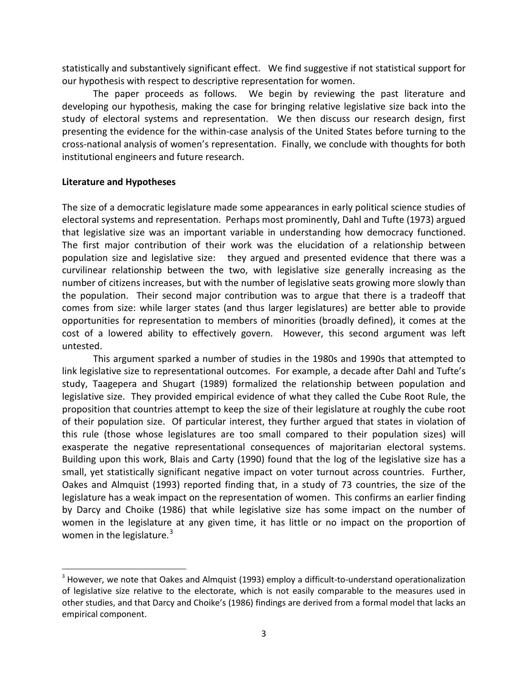statistically and substantively significant effect. We find suggestive if not statistical support for our hypothesis with respect to descriptive representation for women.

The paper proceeds as follows. We begin by reviewing the past literature and developing our hypothesis, making the case for bringing relative legislative size back into the study of electoral systems and representation. We then discuss our research design, first presenting the evidence for the within-case analysis of the United States before turning to the cross-national analysis of women's representation. Finally, we conclude with thoughts for both institutional engineers and future research.

### **Literature and Hypotheses**

The size of a democratic legislature made some appearances in early political science studies of electoral systems and representation. Perhaps most prominently, Dahl and Tufte (1973) argued that legislative size was an important variable in understanding how democracy functioned. The first major contribution of their work was the elucidation of a relationship between population size and legislative size: they argued and presented evidence that there was a curvilinear relationship between the two, with legislative size generally increasing as the number of citizens increases, but with the number of legislative seats growing more slowly than the population. Their second major contribution was to argue that there is a tradeoff that comes from size: while larger states (and thus larger legislatures) are better able to provide opportunities for representation to members of minorities (broadly defined), it comes at the cost of a lowered ability to effectively govern. However, this second argument was left untested.

This argument sparked a number of studies in the 1980s and 1990s that attempted to link legislative size to representational outcomes. For example, a decade after Dahl and Tufte's study, Taagepera and Shugart (1989) formalized the relationship between population and legislative size. They provided empirical evidence of what they called the Cube Root Rule, the proposition that countries attempt to keep the size of their legislature at roughly the cube root of their population size. Of particular interest, they further argued that states in violation of this rule (those whose legislatures are too small compared to their population sizes) will exasperate the negative representational consequences of majoritarian electoral systems. Building upon this work, Blais and Carty (1990) found that the log of the legislative size has a small, yet statistically significant negative impact on voter turnout across countries. Further, Oakes and Almquist (1993) reported finding that, in a study of 73 countries, the size of the legislature has a weak impact on the representation of women. This confirms an earlier finding by Darcy and Choike (1986) that while legislative size has some impact on the number of women in the legislature at any given time, it has little or no impact on the proportion of women in the legislature.<sup>[3](#page-2-0)</sup>

<span id="page-2-0"></span><sup>&</sup>lt;sup>3</sup> However, we note that Oakes and Almquist (1993) employ a difficult-to-understand operationalization of legislative size relative to the electorate, which is not easily comparable to the measures used in other studies, and that Darcy and Choike's (1986) findings are derived from a formal model that lacks an empirical component.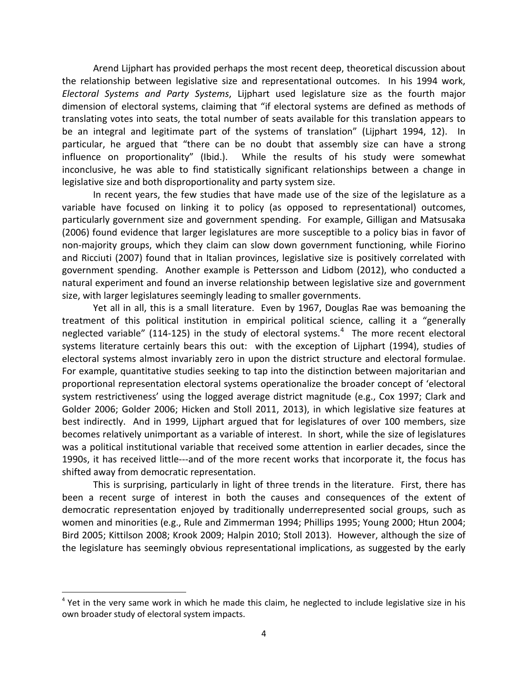Arend Lijphart has provided perhaps the most recent deep, theoretical discussion about the relationship between legislative size and representational outcomes. In his 1994 work, *Electoral Systems and Party Systems*, Lijphart used legislature size as the fourth major dimension of electoral systems, claiming that "if electoral systems are defined as methods of translating votes into seats, the total number of seats available for this translation appears to be an integral and legitimate part of the systems of translation" (Lijphart 1994, 12). In particular, he argued that "there can be no doubt that assembly size can have a strong influence on proportionality" (Ibid.). While the results of his study were somewhat inconclusive, he was able to find statistically significant relationships between a change in legislative size and both disproportionality and party system size.

In recent years, the few studies that have made use of the size of the legislature as a variable have focused on linking it to policy (as opposed to representational) outcomes, particularly government size and government spending. For example, Gilligan and Matsusaka (2006) found evidence that larger legislatures are more susceptible to a policy bias in favor of non-majority groups, which they claim can slow down government functioning, while Fiorino and Ricciuti (2007) found that in Italian provinces, legislative size is positively correlated with government spending. Another example is Pettersson and Lidbom (2012), who conducted a natural experiment and found an inverse relationship between legislative size and government size, with larger legislatures seemingly leading to smaller governments.

Yet all in all, this is a small literature. Even by 1967, Douglas Rae was bemoaning the treatment of this political institution in empirical political science, calling it a "generally neglected variable" (11[4](#page-3-0)-125) in the study of electoral systems.<sup>4</sup> The more recent electoral systems literature certainly bears this out: with the exception of Lijphart (1994), studies of electoral systems almost invariably zero in upon the district structure and electoral formulae. For example, quantitative studies seeking to tap into the distinction between majoritarian and proportional representation electoral systems operationalize the broader concept of 'electoral system restrictiveness' using the logged average district magnitude (e.g., Cox 1997; Clark and Golder 2006; Golder 2006; Hicken and Stoll 2011, 2013), in which legislative size features at best indirectly. And in 1999, Lijphart argued that for legislatures of over 100 members, size becomes relatively unimportant as a variable of interest. In short, while the size of legislatures was a political institutional variable that received some attention in earlier decades, since the 1990s, it has received little---and of the more recent works that incorporate it, the focus has shifted away from democratic representation.

This is surprising, particularly in light of three trends in the literature. First, there has been a recent surge of interest in both the causes and consequences of the extent of democratic representation enjoyed by traditionally underrepresented social groups, such as women and minorities (e.g., Rule and Zimmerman 1994; Phillips 1995; Young 2000; Htun 2004; Bird 2005; Kittilson 2008; Krook 2009; Halpin 2010; Stoll 2013). However, although the size of the legislature has seemingly obvious representational implications, as suggested by the early

<span id="page-3-0"></span><sup>&</sup>lt;sup>4</sup> Yet in the very same work in which he made this claim, he neglected to include legislative size in his own broader study of electoral system impacts.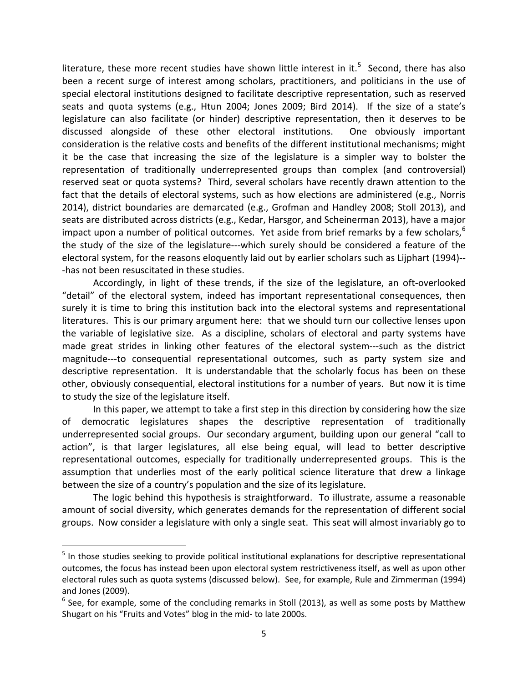literature, these more recent studies have shown little interest in it.<sup>[5](#page-4-0)</sup> Second, there has also been a recent surge of interest among scholars, practitioners, and politicians in the use of special electoral institutions designed to facilitate descriptive representation, such as reserved seats and quota systems (e.g., Htun 2004; Jones 2009; Bird 2014). If the size of a state's legislature can also facilitate (or hinder) descriptive representation, then it deserves to be discussed alongside of these other electoral institutions. One obviously important consideration is the relative costs and benefits of the different institutional mechanisms; might it be the case that increasing the size of the legislature is a simpler way to bolster the representation of traditionally underrepresented groups than complex (and controversial) reserved seat or quota systems? Third, several scholars have recently drawn attention to the fact that the details of electoral systems, such as how elections are administered (e.g., Norris 2014), district boundaries are demarcated (e.g., Grofman and Handley 2008; Stoll 2013), and seats are distributed across districts (e.g., Kedar, Harsgor, and Scheinerman 2013), have a major impact upon a number of political outcomes. Yet aside from brief remarks by a few scholars, $6\%$  $6\%$ the study of the size of the legislature---which surely should be considered a feature of the electoral system, for the reasons eloquently laid out by earlier scholars such as Lijphart (1994)-- -has not been resuscitated in these studies.

Accordingly, in light of these trends, if the size of the legislature, an oft-overlooked "detail" of the electoral system, indeed has important representational consequences, then surely it is time to bring this institution back into the electoral systems and representational literatures. This is our primary argument here: that we should turn our collective lenses upon the variable of legislative size. As a discipline, scholars of electoral and party systems have made great strides in linking other features of the electoral system---such as the district magnitude---to consequential representational outcomes, such as party system size and descriptive representation. It is understandable that the scholarly focus has been on these other, obviously consequential, electoral institutions for a number of years. But now it is time to study the size of the legislature itself.

In this paper, we attempt to take a first step in this direction by considering how the size of democratic legislatures shapes the descriptive representation of traditionally underrepresented social groups. Our secondary argument, building upon our general "call to action", is that larger legislatures, all else being equal, will lead to better descriptive representational outcomes, especially for traditionally underrepresented groups. This is the assumption that underlies most of the early political science literature that drew a linkage between the size of a country's population and the size of its legislature.

The logic behind this hypothesis is straightforward. To illustrate, assume a reasonable amount of social diversity, which generates demands for the representation of different social groups. Now consider a legislature with only a single seat. This seat will almost invariably go to

<span id="page-4-0"></span> $<sup>5</sup>$  In those studies seeking to provide political institutional explanations for descriptive representational</sup> outcomes, the focus has instead been upon electoral system restrictiveness itself, as well as upon other electoral rules such as quota systems (discussed below). See, for example, Rule and Zimmerman (1994) and Jones (2009).

<span id="page-4-1"></span> $6$  See, for example, some of the concluding remarks in Stoll (2013), as well as some posts by Matthew Shugart on his "Fruits and Votes" blog in the mid- to late 2000s.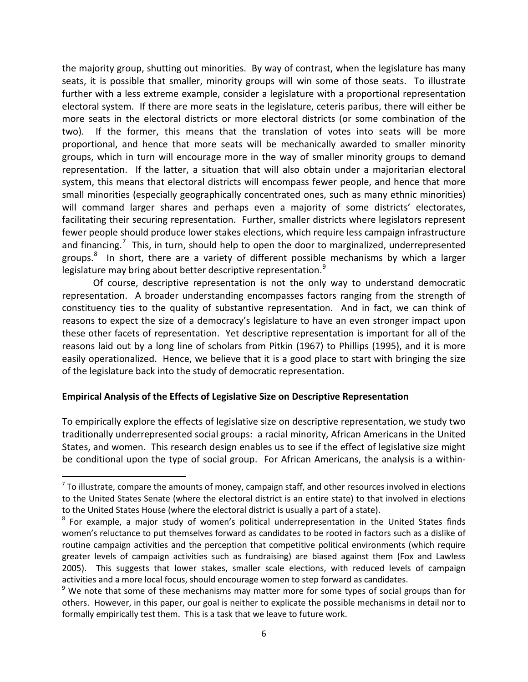the majority group, shutting out minorities. By way of contrast, when the legislature has many seats, it is possible that smaller, minority groups will win some of those seats. To illustrate further with a less extreme example, consider a legislature with a proportional representation electoral system. If there are more seats in the legislature, ceteris paribus, there will either be more seats in the electoral districts or more electoral districts (or some combination of the two). If the former, this means that the translation of votes into seats will be more proportional, and hence that more seats will be mechanically awarded to smaller minority groups, which in turn will encourage more in the way of smaller minority groups to demand representation. If the latter, a situation that will also obtain under a majoritarian electoral system, this means that electoral districts will encompass fewer people, and hence that more small minorities (especially geographically concentrated ones, such as many ethnic minorities) will command larger shares and perhaps even a majority of some districts' electorates, facilitating their securing representation. Further, smaller districts where legislators represent fewer people should produce lower stakes elections, which require less campaign infrastructure and financing.<sup>[7](#page-5-0)</sup> This, in turn, should help to open the door to marginalized, underrepresented groups.<sup>[8](#page-5-1)</sup> In short, there are a variety of different possible mechanisms by which a larger legislature may bring about better descriptive representation.<sup>[9](#page-5-2)</sup>

Of course, descriptive representation is not the only way to understand democratic representation. A broader understanding encompasses factors ranging from the strength of constituency ties to the quality of substantive representation. And in fact, we can think of reasons to expect the size of a democracy's legislature to have an even stronger impact upon these other facets of representation. Yet descriptive representation is important for all of the reasons laid out by a long line of scholars from Pitkin (1967) to Phillips (1995), and it is more easily operationalized. Hence, we believe that it is a good place to start with bringing the size of the legislature back into the study of democratic representation.

#### **Empirical Analysis of the Effects of Legislative Size on Descriptive Representation**

To empirically explore the effects of legislative size on descriptive representation, we study two traditionally underrepresented social groups: a racial minority, African Americans in the United States, and women. This research design enables us to see if the effect of legislative size might be conditional upon the type of social group. For African Americans, the analysis is a within-

<span id="page-5-0"></span> $<sup>7</sup>$  To illustrate, compare the amounts of money, campaign staff, and other resources involved in elections</sup> to the United States Senate (where the electoral district is an entire state) to that involved in elections to the United States House (where the electoral district is usually a part of a state).

<span id="page-5-1"></span><sup>&</sup>lt;sup>8</sup> For example, a major study of women's political underrepresentation in the United States finds women's reluctance to put themselves forward as candidates to be rooted in factors such as a dislike of routine campaign activities and the perception that competitive political environments (which require greater levels of campaign activities such as fundraising) are biased against them (Fox and Lawless 2005). This suggests that lower stakes, smaller scale elections, with reduced levels of campaign activities and a more local focus, should encourage women to step forward as candidates.<br><sup>9</sup> We note that some of these mechanisms may matter more for some types of social groups than for

<span id="page-5-2"></span>others. However, in this paper, our goal is neither to explicate the possible mechanisms in detail nor to formally empirically test them. This is a task that we leave to future work.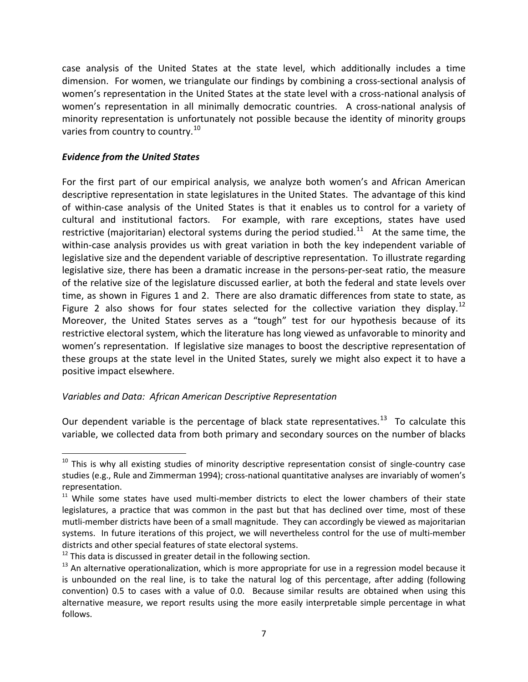case analysis of the United States at the state level, which additionally includes a time dimension. For women, we triangulate our findings by combining a cross-sectional analysis of women's representation in the United States at the state level with a cross-national analysis of women's representation in all minimally democratic countries. A cross-national analysis of minority representation is unfortunately not possible because the identity of minority groups varies from country to country.<sup>10</sup>

### *Evidence from the United States*

For the first part of our empirical analysis, we analyze both women's and African American descriptive representation in state legislatures in the United States. The advantage of this kind of within-case analysis of the United States is that it enables us to control for a variety of cultural and institutional factors. For example, with rare exceptions, states have used restrictive (majoritarian) electoral systems during the period studied.<sup>11</sup> At the same time, the within-case analysis provides us with great variation in both the key independent variable of legislative size and the dependent variable of descriptive representation. To illustrate regarding legislative size, there has been a dramatic increase in the persons-per-seat ratio, the measure of the relative size of the legislature discussed earlier, at both the federal and state levels over time, as shown in Figures 1 and 2. There are also dramatic differences from state to state, as Figure 2 also shows for four states selected for the collective variation they display.<sup>[12](#page-6-2)</sup> Moreover, the United States serves as a "tough" test for our hypothesis because of its restrictive electoral system, which the literature has long viewed as unfavorable to minority and women's representation. If legislative size manages to boost the descriptive representation of these groups at the state level in the United States, surely we might also expect it to have a positive impact elsewhere.

### *Variables and Data: African American Descriptive Representation*

Our dependent variable is the percentage of black state representatives.<sup>[13](#page-6-3)</sup> To calculate this variable, we collected data from both primary and secondary sources on the number of blacks

<span id="page-6-0"></span> $10$  This is why all existing studies of minority descriptive representation consist of single-country case studies (e.g., Rule and Zimmerman 1994); cross-national quantitative analyses are invariably of women's representation.

<span id="page-6-1"></span><sup>&</sup>lt;sup>11</sup> While some states have used multi-member districts to elect the lower chambers of their state legislatures, a practice that was common in the past but that has declined over time, most of these mutli-member districts have been of a small magnitude. They can accordingly be viewed as majoritarian systems. In future iterations of this project, we will nevertheless control for the use of multi-member districts and other special features of state electoral systems.

<span id="page-6-2"></span> $12$  This data is discussed in greater detail in the following section.

<span id="page-6-3"></span> $13$  An alternative operationalization, which is more appropriate for use in a regression model because it is unbounded on the real line, is to take the natural log of this percentage, after adding (following convention) 0.5 to cases with a value of 0.0. Because similar results are obtained when using this alternative measure, we report results using the more easily interpretable simple percentage in what follows.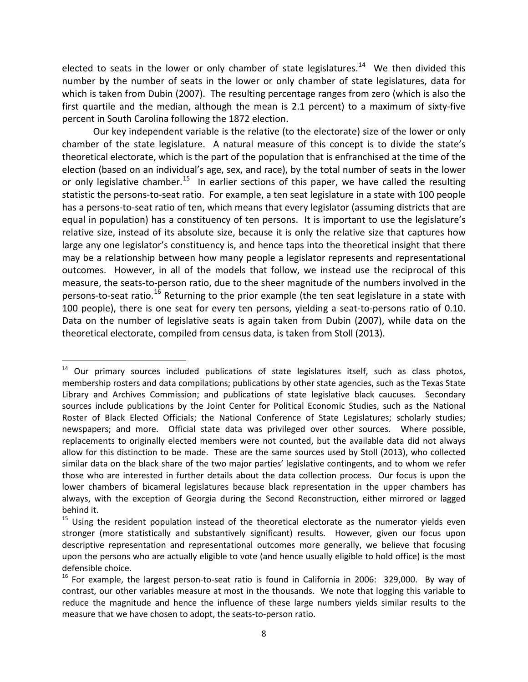elected to seats in the lower or only chamber of state legislatures.<sup>[14](#page-7-0)</sup> We then divided this number by the number of seats in the lower or only chamber of state legislatures, data for which is taken from Dubin (2007). The resulting percentage ranges from zero (which is also the first quartile and the median, although the mean is 2.1 percent) to a maximum of sixty-five percent in South Carolina following the 1872 election.

Our key independent variable is the relative (to the electorate) size of the lower or only chamber of the state legislature. A natural measure of this concept is to divide the state's theoretical electorate, which is the part of the population that is enfranchised at the time of the election (based on an individual's age, sex, and race), by the total number of seats in the lower or only legislative chamber.<sup>[15](#page-7-1)</sup> In earlier sections of this paper, we have called the resulting statistic the persons-to-seat ratio. For example, a ten seat legislature in a state with 100 people has a persons-to-seat ratio of ten, which means that every legislator (assuming districts that are equal in population) has a constituency of ten persons. It is important to use the legislature's relative size, instead of its absolute size, because it is only the relative size that captures how large any one legislator's constituency is, and hence taps into the theoretical insight that there may be a relationship between how many people a legislator represents and representational outcomes. However, in all of the models that follow, we instead use the reciprocal of this measure, the seats-to-person ratio, due to the sheer magnitude of the numbers involved in the persons-to-seat ratio.<sup>[16](#page-7-2)</sup> Returning to the prior example (the ten seat legislature in a state with 100 people), there is one seat for every ten persons, yielding a seat-to-persons ratio of 0.10. Data on the number of legislative seats is again taken from Dubin (2007), while data on the theoretical electorate, compiled from census data, is taken from Stoll (2013).

<span id="page-7-0"></span><sup>&</sup>lt;sup>14</sup> Our primary sources included publications of state legislatures itself, such as class photos, membership rosters and data compilations; publications by other state agencies, such as the Texas State Library and Archives Commission; and publications of state legislative black caucuses. Secondary sources include publications by the Joint Center for Political Economic Studies, such as the National Roster of Black Elected Officials; the National Conference of State Legislatures; scholarly studies; newspapers; and more. Official state data was privileged over other sources. Where possible, replacements to originally elected members were not counted, but the available data did not always allow for this distinction to be made. These are the same sources used by Stoll (2013), who collected similar data on the black share of the two major parties' legislative contingents, and to whom we refer those who are interested in further details about the data collection process. Our focus is upon the lower chambers of bicameral legislatures because black representation in the upper chambers has always, with the exception of Georgia during the Second Reconstruction, either mirrored or lagged behind it.

<span id="page-7-1"></span><sup>&</sup>lt;sup>15</sup> Using the resident population instead of the theoretical electorate as the numerator yields even stronger (more statistically and substantively significant) results. However, given our focus upon descriptive representation and representational outcomes more generally, we believe that focusing upon the persons who are actually eligible to vote (and hence usually eligible to hold office) is the most defensible choice.

<span id="page-7-2"></span><sup>&</sup>lt;sup>16</sup> For example, the largest person-to-seat ratio is found in California in 2006: 329,000. By way of contrast, our other variables measure at most in the thousands. We note that logging this variable to reduce the magnitude and hence the influence of these large numbers yields similar results to the measure that we have chosen to adopt, the seats-to-person ratio.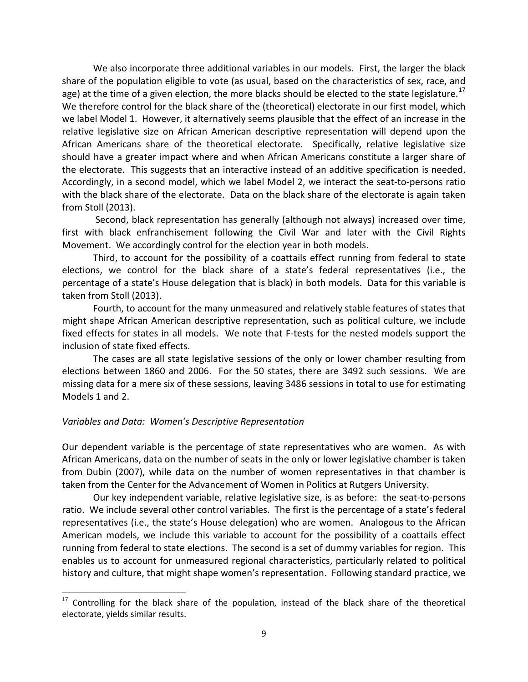We also incorporate three additional variables in our models. First, the larger the black share of the population eligible to vote (as usual, based on the characteristics of sex, race, and age) at the time of a given election, the more blacks should be elected to the state legislature.<sup>[17](#page-8-0)</sup> We therefore control for the black share of the (theoretical) electorate in our first model, which we label Model 1. However, it alternatively seems plausible that the effect of an increase in the relative legislative size on African American descriptive representation will depend upon the African Americans share of the theoretical electorate. Specifically, relative legislative size should have a greater impact where and when African Americans constitute a larger share of the electorate. This suggests that an interactive instead of an additive specification is needed. Accordingly, in a second model, which we label Model 2, we interact the seat-to-persons ratio with the black share of the electorate. Data on the black share of the electorate is again taken from Stoll (2013).

Second, black representation has generally (although not always) increased over time, first with black enfranchisement following the Civil War and later with the Civil Rights Movement. We accordingly control for the election year in both models.

Third, to account for the possibility of a coattails effect running from federal to state elections, we control for the black share of a state's federal representatives (i.e., the percentage of a state's House delegation that is black) in both models. Data for this variable is taken from Stoll (2013).

Fourth, to account for the many unmeasured and relatively stable features of states that might shape African American descriptive representation, such as political culture, we include fixed effects for states in all models. We note that F-tests for the nested models support the inclusion of state fixed effects.

The cases are all state legislative sessions of the only or lower chamber resulting from elections between 1860 and 2006. For the 50 states, there are 3492 such sessions. We are missing data for a mere six of these sessions, leaving 3486 sessions in total to use for estimating Models 1 and 2.

### *Variables and Data: Women's Descriptive Representation*

Our dependent variable is the percentage of state representatives who are women. As with African Americans, data on the number of seats in the only or lower legislative chamber is taken from Dubin (2007), while data on the number of women representatives in that chamber is taken from the Center for the Advancement of Women in Politics at Rutgers University.

Our key independent variable, relative legislative size, is as before: the seat-to-persons ratio. We include several other control variables. The first is the percentage of a state's federal representatives (i.e., the state's House delegation) who are women. Analogous to the African American models, we include this variable to account for the possibility of a coattails effect running from federal to state elections. The second is a set of dummy variables for region. This enables us to account for unmeasured regional characteristics, particularly related to political history and culture, that might shape women's representation. Following standard practice, we

<span id="page-8-0"></span><sup>&</sup>lt;sup>17</sup> Controlling for the black share of the population, instead of the black share of the theoretical electorate, yields similar results.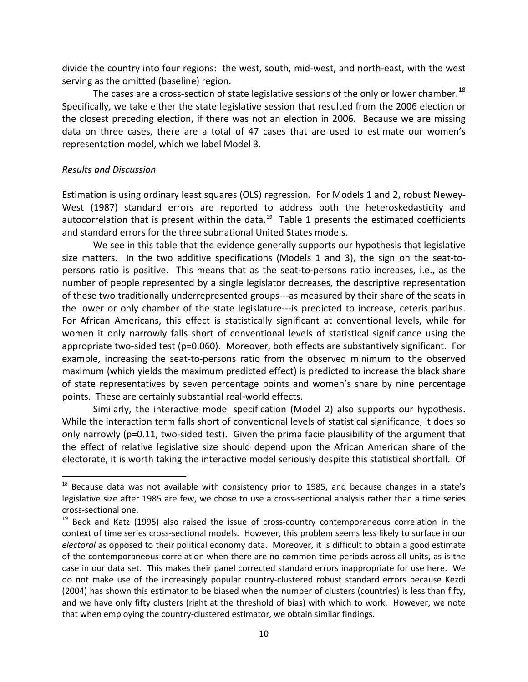divide the country into four regions: the west, south, mid-west, and north-east, with the west serving as the omitted (baseline) region.

The cases are a cross-section of state legislative sessions of the only or lower chamber.<sup>[18](#page-9-0)</sup> Specifically, we take either the state legislative session that resulted from the 2006 election or the closest preceding election, if there was not an election in 2006. Because we are missing data on three cases, there are a total of 47 cases that are used to estimate our women's representation model, which we label Model 3.

#### *Results and Discussion*

Estimation is using ordinary least squares (OLS) regression. For Models 1 and 2, robust Newey-West (1987) standard errors are reported to address both the heteroskedasticity and autocorrelation that is present within the data. $^{19}$  $^{19}$  $^{19}$  Table 1 presents the estimated coefficients and standard errors for the three subnational United States models.

We see in this table that the evidence generally supports our hypothesis that legislative size matters. In the two additive specifications (Models 1 and 3), the sign on the seat-topersons ratio is positive. This means that as the seat-to-persons ratio increases, i.e., as the number of people represented by a single legislator decreases, the descriptive representation of these two traditionally underrepresented groups---as measured by their share of the seats in the lower or only chamber of the state legislature---is predicted to increase, ceteris paribus. For African Americans, this effect is statistically significant at conventional levels, while for women it only narrowly falls short of conventional levels of statistical significance using the appropriate two-sided test (p=0.060). Moreover, both effects are substantively significant. For example, increasing the seat-to-persons ratio from the observed minimum to the observed maximum (which yields the maximum predicted effect) is predicted to increase the black share of state representatives by seven percentage points and women's share by nine percentage points. These are certainly substantial real-world effects.

Similarly, the interactive model specification (Model 2) also supports our hypothesis. While the interaction term falls short of conventional levels of statistical significance, it does so only narrowly (p=0.11, two-sided test). Given the prima facie plausibility of the argument that the effect of relative legislative size should depend upon the African American share of the electorate, it is worth taking the interactive model seriously despite this statistical shortfall. Of

<span id="page-9-0"></span><sup>&</sup>lt;sup>18</sup> Because data was not available with consistency prior to 1985, and because changes in a state's legislative size after 1985 are few, we chose to use a cross-sectional analysis rather than a time series cross-sectional one.

<span id="page-9-1"></span><sup>&</sup>lt;sup>19</sup> Beck and Katz (1995) also raised the issue of cross-country contemporaneous correlation in the context of time series cross-sectional models. However, this problem seems less likely to surface in our *electoral* as opposed to their political economy data. Moreover, it is difficult to obtain a good estimate of the contemporaneous correlation when there are no common time periods across all units, as is the case in our data set. This makes their panel corrected standard errors inappropriate for use here. We do not make use of the increasingly popular country-clustered robust standard errors because Kezdi (2004) has shown this estimator to be biased when the number of clusters (countries) is less than fifty, and we have only fifty clusters (right at the threshold of bias) with which to work. However, we note that when employing the country-clustered estimator, we obtain similar findings.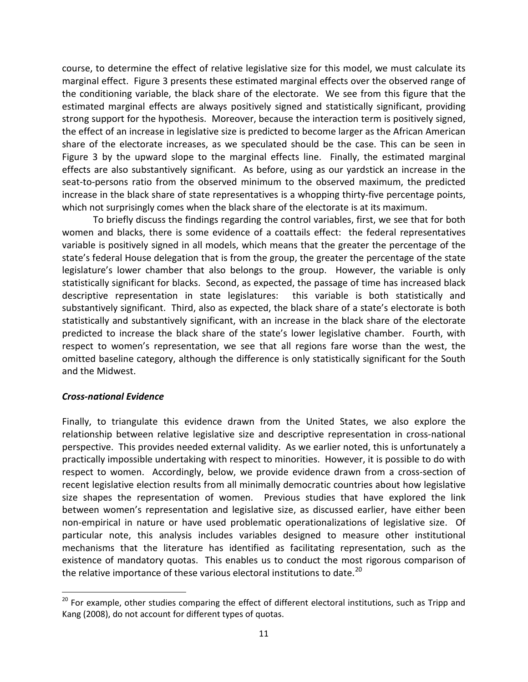course, to determine the effect of relative legislative size for this model, we must calculate its marginal effect. Figure 3 presents these estimated marginal effects over the observed range of the conditioning variable, the black share of the electorate. We see from this figure that the estimated marginal effects are always positively signed and statistically significant, providing strong support for the hypothesis. Moreover, because the interaction term is positively signed, the effect of an increase in legislative size is predicted to become larger as the African American share of the electorate increases, as we speculated should be the case. This can be seen in Figure 3 by the upward slope to the marginal effects line. Finally, the estimated marginal effects are also substantively significant. As before, using as our yardstick an increase in the seat-to-persons ratio from the observed minimum to the observed maximum, the predicted increase in the black share of state representatives is a whopping thirty-five percentage points, which not surprisingly comes when the black share of the electorate is at its maximum.

To briefly discuss the findings regarding the control variables, first, we see that for both women and blacks, there is some evidence of a coattails effect: the federal representatives variable is positively signed in all models, which means that the greater the percentage of the state's federal House delegation that is from the group, the greater the percentage of the state legislature's lower chamber that also belongs to the group. However, the variable is only statistically significant for blacks. Second, as expected, the passage of time has increased black descriptive representation in state legislatures: this variable is both statistically and substantively significant. Third, also as expected, the black share of a state's electorate is both statistically and substantively significant, with an increase in the black share of the electorate predicted to increase the black share of the state's lower legislative chamber. Fourth, with respect to women's representation, we see that all regions fare worse than the west, the omitted baseline category, although the difference is only statistically significant for the South and the Midwest.

### *Cross-national Evidence*

Finally, to triangulate this evidence drawn from the United States, we also explore the relationship between relative legislative size and descriptive representation in cross-national perspective. This provides needed external validity. As we earlier noted, this is unfortunately a practically impossible undertaking with respect to minorities. However, it is possible to do with respect to women. Accordingly, below, we provide evidence drawn from a cross-section of recent legislative election results from all minimally democratic countries about how legislative size shapes the representation of women. Previous studies that have explored the link between women's representation and legislative size, as discussed earlier, have either been non-empirical in nature or have used problematic operationalizations of legislative size. Of particular note, this analysis includes variables designed to measure other institutional mechanisms that the literature has identified as facilitating representation, such as the existence of mandatory quotas. This enables us to conduct the most rigorous comparison of the relative importance of these various electoral institutions to date.<sup>[20](#page-10-0)</sup>

<span id="page-10-0"></span><sup>&</sup>lt;sup>20</sup> For example, other studies comparing the effect of different electoral institutions, such as Tripp and Kang (2008), do not account for different types of quotas.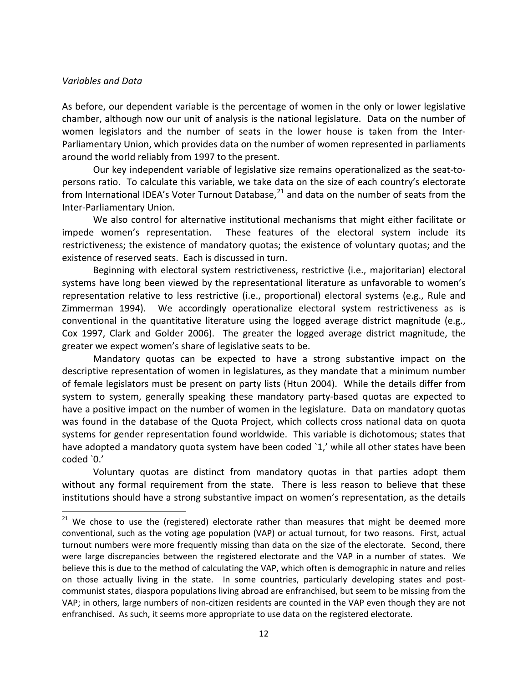#### *Variables and Data*

As before, our dependent variable is the percentage of women in the only or lower legislative chamber, although now our unit of analysis is the national legislature. Data on the number of women legislators and the number of seats in the lower house is taken from the Inter-Parliamentary Union, which provides data on the number of women represented in parliaments around the world reliably from 1997 to the present.

Our key independent variable of legislative size remains operationalized as the seat-topersons ratio. To calculate this variable, we take data on the size of each country's electorate from International IDEA's Voter Turnout Database,<sup>[21](#page-11-0)</sup> and data on the number of seats from the Inter-Parliamentary Union.

We also control for alternative institutional mechanisms that might either facilitate or impede women's representation. These features of the electoral system include its restrictiveness; the existence of mandatory quotas; the existence of voluntary quotas; and the existence of reserved seats. Each is discussed in turn.

Beginning with electoral system restrictiveness, restrictive (i.e., majoritarian) electoral systems have long been viewed by the representational literature as unfavorable to women's representation relative to less restrictive (i.e., proportional) electoral systems (e.g., Rule and Zimmerman 1994). We accordingly operationalize electoral system restrictiveness as is conventional in the quantitative literature using the logged average district magnitude (e.g., Cox 1997, Clark and Golder 2006). The greater the logged average district magnitude, the greater we expect women's share of legislative seats to be.

Mandatory quotas can be expected to have a strong substantive impact on the descriptive representation of women in legislatures, as they mandate that a minimum number of female legislators must be present on party lists (Htun 2004). While the details differ from system to system, generally speaking these mandatory party-based quotas are expected to have a positive impact on the number of women in the legislature. Data on mandatory quotas was found in the database of the Quota Project, which collects cross national data on quota systems for gender representation found worldwide. This variable is dichotomous; states that have adopted a mandatory quota system have been coded `1,' while all other states have been coded `0.'

Voluntary quotas are distinct from mandatory quotas in that parties adopt them without any formal requirement from the state. There is less reason to believe that these institutions should have a strong substantive impact on women's representation, as the details

<span id="page-11-0"></span> $21$  We chose to use the (registered) electorate rather than measures that might be deemed more conventional, such as the voting age population (VAP) or actual turnout, for two reasons. First, actual turnout numbers were more frequently missing than data on the size of the electorate. Second, there were large discrepancies between the registered electorate and the VAP in a number of states. We believe this is due to the method of calculating the VAP, which often is demographic in nature and relies on those actually living in the state. In some countries, particularly developing states and postcommunist states, diaspora populations living abroad are enfranchised, but seem to be missing from the VAP; in others, large numbers of non-citizen residents are counted in the VAP even though they are not enfranchised. As such, it seems more appropriate to use data on the registered electorate.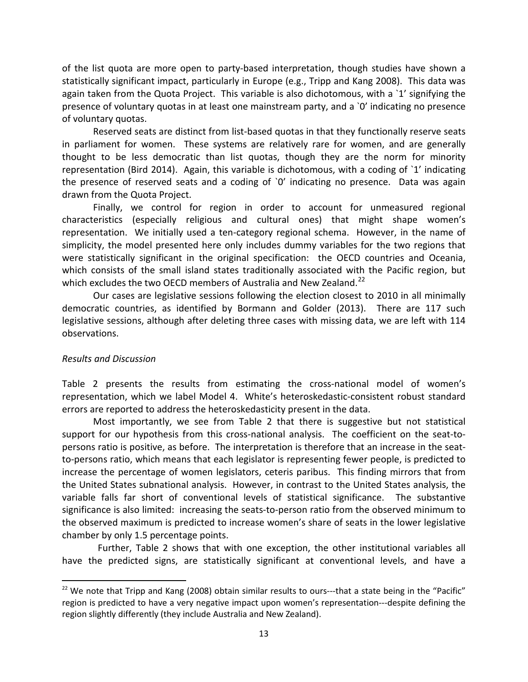of the list quota are more open to party-based interpretation, though studies have shown a statistically significant impact, particularly in Europe (e.g., Tripp and Kang 2008). This data was again taken from the Quota Project. This variable is also dichotomous, with a `1' signifying the presence of voluntary quotas in at least one mainstream party, and a `0' indicating no presence of voluntary quotas.

Reserved seats are distinct from list-based quotas in that they functionally reserve seats in parliament for women. These systems are relatively rare for women, and are generally thought to be less democratic than list quotas, though they are the norm for minority representation (Bird 2014). Again, this variable is dichotomous, with a coding of `1' indicating the presence of reserved seats and a coding of `0' indicating no presence. Data was again drawn from the Quota Project.

Finally, we control for region in order to account for unmeasured regional characteristics (especially religious and cultural ones) that might shape women's representation. We initially used a ten-category regional schema. However, in the name of simplicity, the model presented here only includes dummy variables for the two regions that were statistically significant in the original specification: the OECD countries and Oceania, which consists of the small island states traditionally associated with the Pacific region, but which excludes the two OECD members of Australia and New Zealand.<sup>[22](#page-12-0)</sup>

Our cases are legislative sessions following the election closest to 2010 in all minimally democratic countries, as identified by Bormann and Golder (2013). There are 117 such legislative sessions, although after deleting three cases with missing data, we are left with 114 observations.

### *Results and Discussion*

Table 2 presents the results from estimating the cross-national model of women's representation, which we label Model 4. White's heteroskedastic-consistent robust standard errors are reported to address the heteroskedasticity present in the data.

Most importantly, we see from Table 2 that there is suggestive but not statistical support for our hypothesis from this cross-national analysis. The coefficient on the seat-topersons ratio is positive, as before. The interpretation is therefore that an increase in the seatto-persons ratio, which means that each legislator is representing fewer people, is predicted to increase the percentage of women legislators, ceteris paribus. This finding mirrors that from the United States subnational analysis. However, in contrast to the United States analysis, the variable falls far short of conventional levels of statistical significance. The substantive significance is also limited: increasing the seats-to-person ratio from the observed minimum to the observed maximum is predicted to increase women's share of seats in the lower legislative chamber by only 1.5 percentage points.

 Further, Table 2 shows that with one exception, the other institutional variables all have the predicted signs, are statistically significant at conventional levels, and have a

<span id="page-12-0"></span><sup>&</sup>lt;sup>22</sup> We note that Tripp and Kang (2008) obtain similar results to ours---that a state being in the "Pacific" region is predicted to have a very negative impact upon women's representation---despite defining the region slightly differently (they include Australia and New Zealand).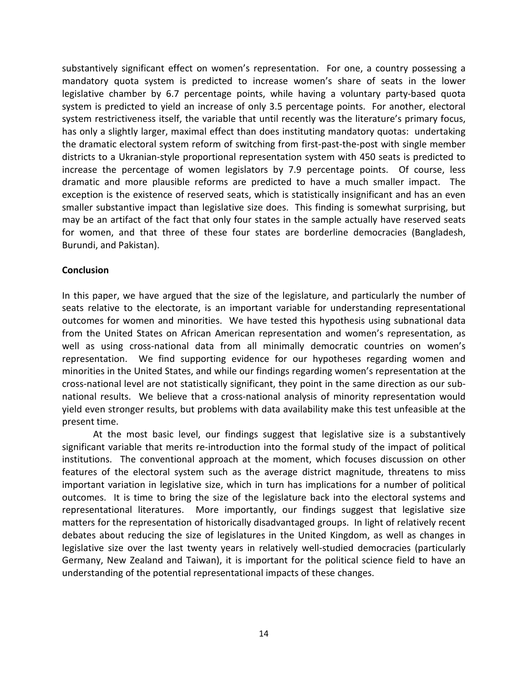substantively significant effect on women's representation. For one, a country possessing a mandatory quota system is predicted to increase women's share of seats in the lower legislative chamber by 6.7 percentage points, while having a voluntary party-based quota system is predicted to yield an increase of only 3.5 percentage points. For another, electoral system restrictiveness itself, the variable that until recently was the literature's primary focus, has only a slightly larger, maximal effect than does instituting mandatory quotas: undertaking the dramatic electoral system reform of switching from first-past-the-post with single member districts to a Ukranian-style proportional representation system with 450 seats is predicted to increase the percentage of women legislators by 7.9 percentage points. Of course, less dramatic and more plausible reforms are predicted to have a much smaller impact. The exception is the existence of reserved seats, which is statistically insignificant and has an even smaller substantive impact than legislative size does. This finding is somewhat surprising, but may be an artifact of the fact that only four states in the sample actually have reserved seats for women, and that three of these four states are borderline democracies (Bangladesh, Burundi, and Pakistan).

#### **Conclusion**

In this paper, we have argued that the size of the legislature, and particularly the number of seats relative to the electorate, is an important variable for understanding representational outcomes for women and minorities. We have tested this hypothesis using subnational data from the United States on African American representation and women's representation, as well as using cross-national data from all minimally democratic countries on women's representation. We find supporting evidence for our hypotheses regarding women and minorities in the United States, and while our findings regarding women's representation at the cross-national level are not statistically significant, they point in the same direction as our subnational results. We believe that a cross-national analysis of minority representation would yield even stronger results, but problems with data availability make this test unfeasible at the present time.

At the most basic level, our findings suggest that legislative size is a substantively significant variable that merits re-introduction into the formal study of the impact of political institutions. The conventional approach at the moment, which focuses discussion on other features of the electoral system such as the average district magnitude, threatens to miss important variation in legislative size, which in turn has implications for a number of political outcomes. It is time to bring the size of the legislature back into the electoral systems and representational literatures. More importantly, our findings suggest that legislative size matters for the representation of historically disadvantaged groups. In light of relatively recent debates about reducing the size of legislatures in the United Kingdom, as well as changes in legislative size over the last twenty years in relatively well-studied democracies (particularly Germany, New Zealand and Taiwan), it is important for the political science field to have an understanding of the potential representational impacts of these changes.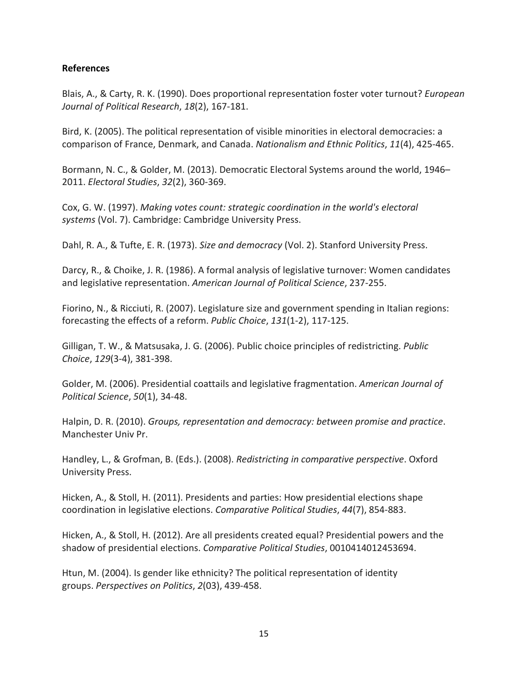### **References**

Blais, A., & Carty, R. K. (1990). Does proportional representation foster voter turnout? *European Journal of Political Research*, *18*(2), 167-181.

Bird, K. (2005). The political representation of visible minorities in electoral democracies: a comparison of France, Denmark, and Canada. *Nationalism and Ethnic Politics*, *11*(4), 425-465.

Bormann, N. C., & Golder, M. (2013). Democratic Electoral Systems around the world, 1946– 2011. *Electoral Studies*, *32*(2), 360-369.

Cox, G. W. (1997). *Making votes count: strategic coordination in the world's electoral systems* (Vol. 7). Cambridge: Cambridge University Press.

Dahl, R. A., & Tufte, E. R. (1973). *Size and democracy* (Vol. 2). Stanford University Press.

Darcy, R., & Choike, J. R. (1986). A formal analysis of legislative turnover: Women candidates and legislative representation. *American Journal of Political Science*, 237-255.

Fiorino, N., & Ricciuti, R. (2007). Legislature size and government spending in Italian regions: forecasting the effects of a reform. *Public Choice*, *131*(1-2), 117-125.

Gilligan, T. W., & Matsusaka, J. G. (2006). Public choice principles of redistricting. *Public Choice*, *129*(3-4), 381-398.

Golder, M. (2006). Presidential coattails and legislative fragmentation. *American Journal of Political Science*, *50*(1), 34-48.

Halpin, D. R. (2010). *Groups, representation and democracy: between promise and practice*. Manchester Univ Pr.

Handley, L., & Grofman, B. (Eds.). (2008). *Redistricting in comparative perspective*. Oxford University Press.

Hicken, A., & Stoll, H. (2011). Presidents and parties: How presidential elections shape coordination in legislative elections. *Comparative Political Studies*, *44*(7), 854-883.

Hicken, A., & Stoll, H. (2012). Are all presidents created equal? Presidential powers and the shadow of presidential elections. *Comparative Political Studies*, 0010414012453694.

Htun, M. (2004). Is gender like ethnicity? The political representation of identity groups. *Perspectives on Politics*, *2*(03), 439-458.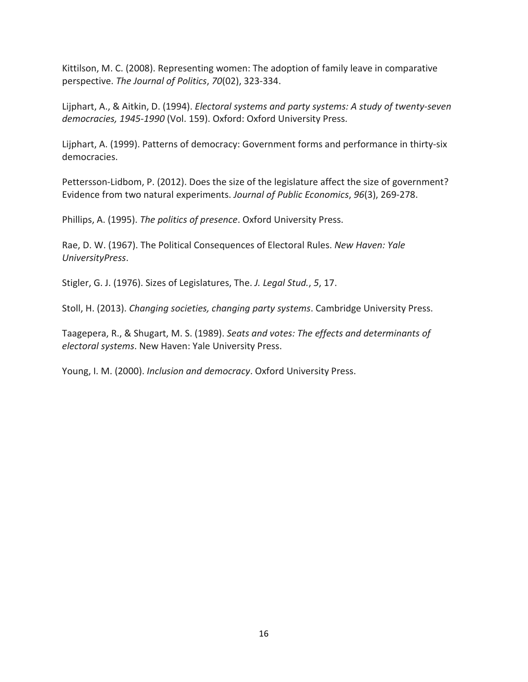Kittilson, M. C. (2008). Representing women: The adoption of family leave in comparative perspective. *The Journal of Politics*, *70*(02), 323-334.

Lijphart, A., & Aitkin, D. (1994). *Electoral systems and party systems: A study of twenty-seven democracies, 1945-1990* (Vol. 159). Oxford: Oxford University Press.

Lijphart, A. (1999). Patterns of democracy: Government forms and performance in thirty-six democracies.

Pettersson-Lidbom, P. (2012). Does the size of the legislature affect the size of government? Evidence from two natural experiments. *Journal of Public Economics*, *96*(3), 269-278.

Phillips, A. (1995). *The politics of presence*. Oxford University Press.

Rae, D. W. (1967). The Political Consequences of Electoral Rules. *New Haven: Yale UniversityPress*.

Stigler, G. J. (1976). Sizes of Legislatures, The. *J. Legal Stud.*, *5*, 17.

Stoll, H. (2013). *Changing societies, changing party systems*. Cambridge University Press.

Taagepera, R., & Shugart, M. S. (1989). *Seats and votes: The effects and determinants of electoral systems*. New Haven: Yale University Press.

Young, I. M. (2000). *Inclusion and democracy*. Oxford University Press.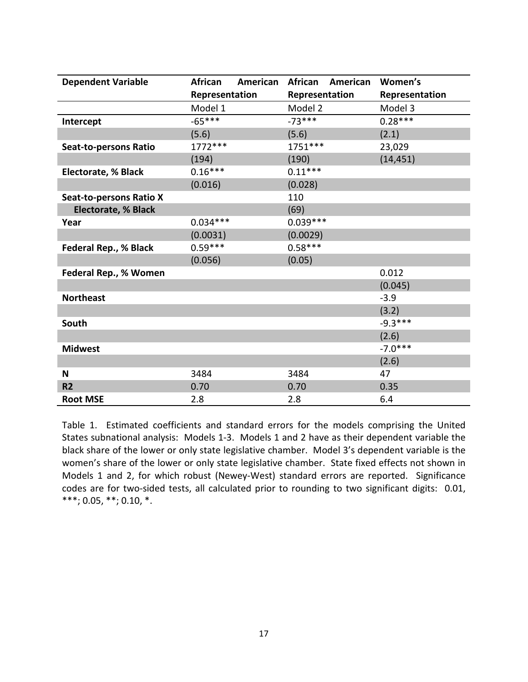| <b>Dependent Variable</b>      | <b>African</b> | American | African        | American | Women's        |
|--------------------------------|----------------|----------|----------------|----------|----------------|
|                                | Representation |          | Representation |          | Representation |
|                                | Model 1        |          | Model 2        |          | Model 3        |
| Intercept                      | $-65***$       |          | $-73***$       |          | $0.28***$      |
|                                | (5.6)          |          | (5.6)          |          | (2.1)          |
| <b>Seat-to-persons Ratio</b>   | 1772 ***       |          | 1751***        |          | 23,029         |
|                                | (194)          |          | (190)          |          | (14, 451)      |
| <b>Electorate, % Black</b>     | $0.16***$      |          | $0.11***$      |          |                |
|                                | (0.016)        |          | (0.028)        |          |                |
| <b>Seat-to-persons Ratio X</b> |                |          | 110            |          |                |
| <b>Electorate, % Black</b>     |                |          | (69)           |          |                |
| Year                           | $0.034***$     |          | $0.039***$     |          |                |
|                                | (0.0031)       |          | (0.0029)       |          |                |
| Federal Rep., % Black          | $0.59***$      |          | $0.58***$      |          |                |
|                                | (0.056)        |          | (0.05)         |          |                |
| Federal Rep., % Women          |                |          |                |          | 0.012          |
|                                |                |          |                |          | (0.045)        |
| <b>Northeast</b>               |                |          |                |          | $-3.9$         |
|                                |                |          |                |          | (3.2)          |
| South                          |                |          |                |          | $-9.3***$      |
|                                |                |          |                |          | (2.6)          |
| <b>Midwest</b>                 |                |          |                |          | $-7.0***$      |
|                                |                |          |                |          | (2.6)          |
| N                              | 3484           |          | 3484           |          | 47             |
| R <sub>2</sub>                 | 0.70           |          | 0.70           |          | 0.35           |
| <b>Root MSE</b>                | 2.8            |          | 2.8            |          | 6.4            |

Table 1. Estimated coefficients and standard errors for the models comprising the United States subnational analysis: Models 1-3. Models 1 and 2 have as their dependent variable the black share of the lower or only state legislative chamber. Model 3's dependent variable is the women's share of the lower or only state legislative chamber. State fixed effects not shown in Models 1 and 2, for which robust (Newey-West) standard errors are reported. Significance codes are for two-sided tests, all calculated prior to rounding to two significant digits: 0.01, \*\*\*; 0.05, \*\*; 0.10, \*.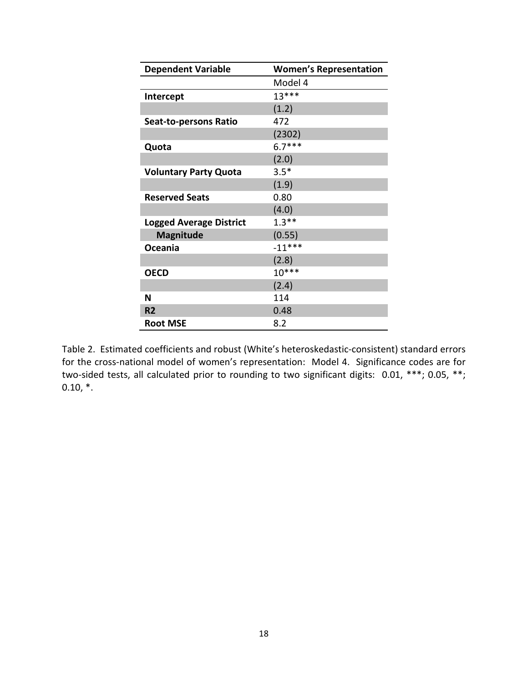| <b>Dependent Variable</b>      | <b>Women's Representation</b> |
|--------------------------------|-------------------------------|
|                                | Model 4                       |
| Intercept                      | $13***$                       |
|                                | (1.2)                         |
| <b>Seat-to-persons Ratio</b>   | 472                           |
|                                | (2302)                        |
| Quota                          | $6.7***$                      |
|                                | (2.0)                         |
| <b>Voluntary Party Quota</b>   | $3.5*$                        |
|                                | (1.9)                         |
| <b>Reserved Seats</b>          | 0.80                          |
|                                | (4.0)                         |
| <b>Logged Average District</b> | $1.3**$                       |
| <b>Magnitude</b>               | (0.55)                        |
| Oceania                        | $-11***$                      |
|                                | (2.8)                         |
| <b>OECD</b>                    | $10***$                       |
|                                | (2.4)                         |
| N                              | 114                           |
| R <sub>2</sub>                 | 0.48                          |
| <b>Root MSE</b>                | 8.2                           |

Table 2. Estimated coefficients and robust (White's heteroskedastic-consistent) standard errors for the cross-national model of women's representation: Model 4. Significance codes are for two-sided tests, all calculated prior to rounding to two significant digits: 0.01, \*\*\*; 0.05, \*\*;  $0.10, *$ .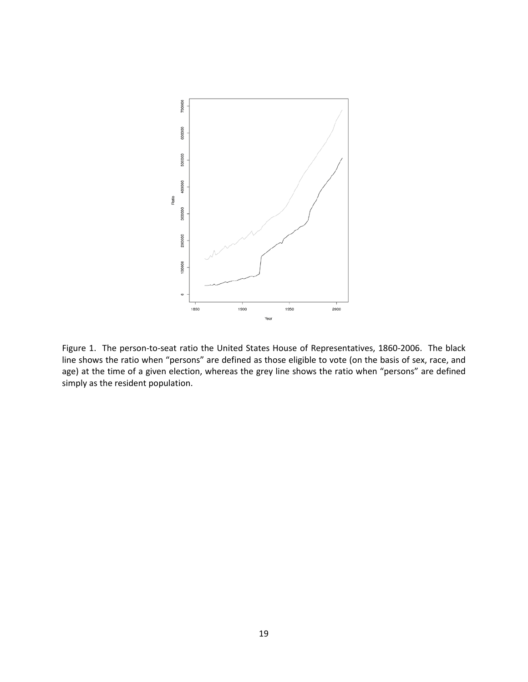

Figure 1. The person-to-seat ratio the United States House of Representatives, 1860-2006. The black line shows the ratio when "persons" are defined as those eligible to vote (on the basis of sex, race, and age) at the time of a given election, whereas the grey line shows the ratio when "persons" are defined simply as the resident population.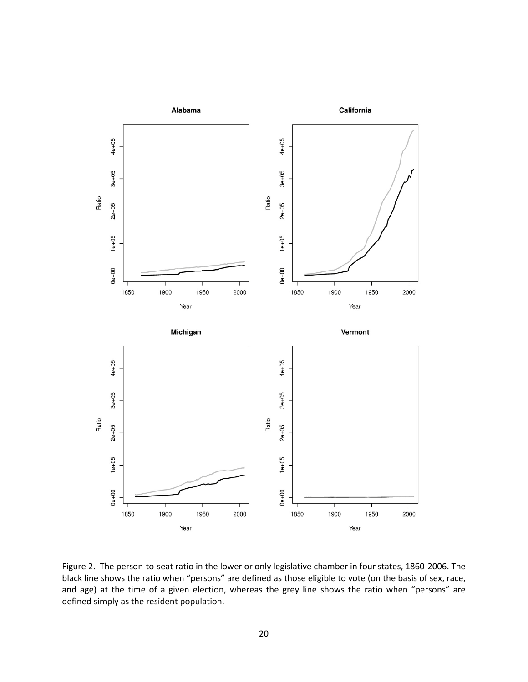

Figure 2. The person-to-seat ratio in the lower or only legislative chamber in four states, 1860-2006. The black line shows the ratio when "persons" are defined as those eligible to vote (on the basis of sex, race, and age) at the time of a given election, whereas the grey line shows the ratio when "persons" are defined simply as the resident population.